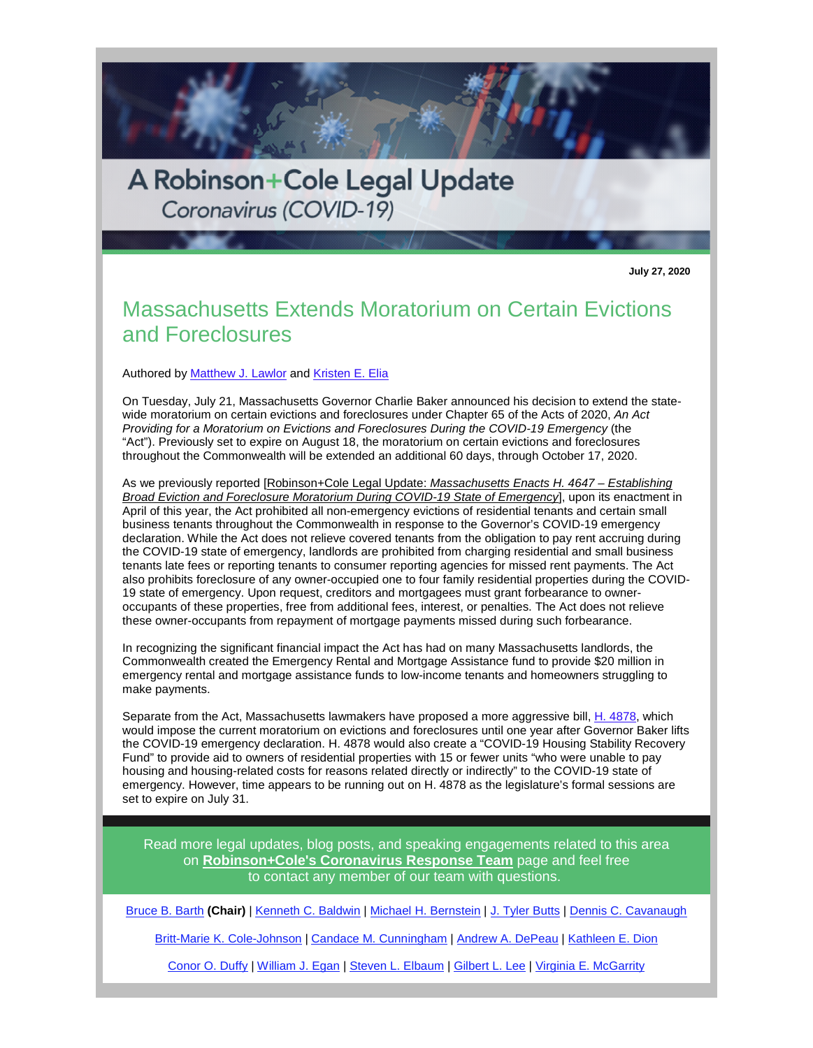

**July 27, 2020**

## Massachusetts Extends Moratorium on Certain Evictions and Foreclosures

Authored b[y Matthew J. Lawlor](http://r20.rs6.net/tn.jsp?f=001wsiFG8QH7LlI3d0cOmWUHxGKh7ii1cdxtXG01f5gAIUXxlCznhHxtfqaxV5AY8vp8NVRZHYNQicKJoRm9NjObZtbVXJRVov7WIdWD8u9w8a_-OTh63KsewwR7rpb0IdfPRQAr8yWr0dAB56V_y45j7JPSEPl86cgMAKzLLst1WY=&c=aoPvlN9y3WDV-JSNvE1EOrFpu5QGZ719vl0cez41Qi4zAKOC02eTWg==&ch=ieCZNrQiKxwl7uMKiz0tnEYldXfDBsaHIYwS7jc4FMDeRfeVCTxqGA==) and [Kristen E. Elia](http://r20.rs6.net/tn.jsp?f=001wsiFG8QH7LlI3d0cOmWUHxGKh7ii1cdxtXG01f5gAIUXxlCznhHxtducitjkzIEijWTy6YXQW4xgyjLkwdHH8_xzWvF3rQoHGYz4JfA9vybfPxTmHWofo2r7FoigO7x9SqKGpUwStsGpWO-29GGCK1LvBln08U0AmJ2M1YYmbow=&c=aoPvlN9y3WDV-JSNvE1EOrFpu5QGZ719vl0cez41Qi4zAKOC02eTWg==&ch=ieCZNrQiKxwl7uMKiz0tnEYldXfDBsaHIYwS7jc4FMDeRfeVCTxqGA==) 

On Tuesday, July 21, Massachusetts Governor Charlie Baker announced his decision to extend the statewide moratorium on certain evictions and foreclosures under Chapter 65 of the Acts of 2020, *An Act Providing for a Moratorium on Evictions and Foreclosures During the COVID-19 Emergency* (the "Act"). Previously set to expire on August 18, the moratorium on certain evictions and foreclosures throughout the Commonwealth will be extended an additional 60 days, through October 17, 2020.

As we previously reported [\[Robinson+Cole Legal Update:](http://r20.rs6.net/tn.jsp?f=001wsiFG8QH7LlI3d0cOmWUHxGKh7ii1cdxtXG01f5gAIUXxlCznhHxtW6-IHuJwvDBPWqLLgkI314qlQt7Cz0yARgW0c4GFmoyXcWBiZAIbeTCkOvAgNDry0JSlTk6J-R-nlu-F4mBougWOYzwtxYDOyr5Bz-M_8g9aCb5vL1ymCDQeoPGgMhBznuYkFnQBIshjKgIZofUt8vteUt0txI4l9cXB0A6Q12P38gdB9G-VC8=&c=aoPvlN9y3WDV-JSNvE1EOrFpu5QGZ719vl0cez41Qi4zAKOC02eTWg==&ch=ieCZNrQiKxwl7uMKiz0tnEYldXfDBsaHIYwS7jc4FMDeRfeVCTxqGA==) *[Massachusetts Enacts H. 4647 – Establishing](http://r20.rs6.net/tn.jsp?f=001wsiFG8QH7LlI3d0cOmWUHxGKh7ii1cdxtXG01f5gAIUXxlCznhHxtW6-IHuJwvDBPWqLLgkI314qlQt7Cz0yARgW0c4GFmoyXcWBiZAIbeTCkOvAgNDry0JSlTk6J-R-nlu-F4mBougWOYzwtxYDOyr5Bz-M_8g9aCb5vL1ymCDQeoPGgMhBznuYkFnQBIshjKgIZofUt8vteUt0txI4l9cXB0A6Q12P38gdB9G-VC8=&c=aoPvlN9y3WDV-JSNvE1EOrFpu5QGZ719vl0cez41Qi4zAKOC02eTWg==&ch=ieCZNrQiKxwl7uMKiz0tnEYldXfDBsaHIYwS7jc4FMDeRfeVCTxqGA==)  [Broad Eviction and Foreclosure Moratorium During COVID-19 State of Emergency](http://r20.rs6.net/tn.jsp?f=001wsiFG8QH7LlI3d0cOmWUHxGKh7ii1cdxtXG01f5gAIUXxlCznhHxtW6-IHuJwvDBPWqLLgkI314qlQt7Cz0yARgW0c4GFmoyXcWBiZAIbeTCkOvAgNDry0JSlTk6J-R-nlu-F4mBougWOYzwtxYDOyr5Bz-M_8g9aCb5vL1ymCDQeoPGgMhBznuYkFnQBIshjKgIZofUt8vteUt0txI4l9cXB0A6Q12P38gdB9G-VC8=&c=aoPvlN9y3WDV-JSNvE1EOrFpu5QGZ719vl0cez41Qi4zAKOC02eTWg==&ch=ieCZNrQiKxwl7uMKiz0tnEYldXfDBsaHIYwS7jc4FMDeRfeVCTxqGA==)*], upon its enactment in April of this year, the Act prohibited all non-emergency evictions of residential tenants and certain small business tenants throughout the Commonwealth in response to the Governor's COVID-19 emergency declaration. While the Act does not relieve covered tenants from the obligation to pay rent accruing during the COVID-19 state of emergency, landlords are prohibited from charging residential and small business tenants late fees or reporting tenants to consumer reporting agencies for missed rent payments. The Act also prohibits foreclosure of any owner-occupied one to four family residential properties during the COVID-19 state of emergency. Upon request, creditors and mortgagees must grant forbearance to owneroccupants of these properties, free from additional fees, interest, or penalties. The Act does not relieve these owner-occupants from repayment of mortgage payments missed during such forbearance.

In recognizing the significant financial impact the Act has had on many Massachusetts landlords, the Commonwealth created the Emergency Rental and Mortgage Assistance fund to provide \$20 million in emergency rental and mortgage assistance funds to low-income tenants and homeowners struggling to make payments.

Separate from the Act, Massachusetts lawmakers have proposed a more aggressive bill[, H. 4878,](http://r20.rs6.net/tn.jsp?f=001wsiFG8QH7LlI3d0cOmWUHxGKh7ii1cdxtXG01f5gAIUXxlCznhHxtW6-IHuJwvDBfymiYnySMQ_Z6ZB7AzaABL8bDU4OX3wAaufG22Qv_YQ1QcWlqGZ7VQW4oFjZZS_-23d1dj87lR_nkTiSPXu-wK1j8ilfvfHokmO4nGU6z0w=&c=aoPvlN9y3WDV-JSNvE1EOrFpu5QGZ719vl0cez41Qi4zAKOC02eTWg==&ch=ieCZNrQiKxwl7uMKiz0tnEYldXfDBsaHIYwS7jc4FMDeRfeVCTxqGA==) which would impose the current moratorium on evictions and foreclosures until one year after Governor Baker lifts the COVID-19 emergency declaration. H. 4878 would also create a "COVID-19 Housing Stability Recovery Fund" to provide aid to owners of residential properties with 15 or fewer units "who were unable to pay housing and housing-related costs for reasons related directly or indirectly" to the COVID-19 state of emergency. However, time appears to be running out on H. 4878 as the legislature's formal sessions are set to expire on July 31.

Read more legal updates, blog posts, and speaking engagements related to this area on **[Robinson+Cole's Coronavirus Response Team](http://r20.rs6.net/tn.jsp?f=001wsiFG8QH7LlI3d0cOmWUHxGKh7ii1cdxtXG01f5gAIUXxlCznhHxtQ3-y8uHhTYRZ0NgVPhmRIOwytdPw9ZSiX4tMRt_s-YOlZqSxaNDjbZNF6v8fVARFakyxujPp5BkW4JS0_6mWgipREL7UgcYsQ==&c=aoPvlN9y3WDV-JSNvE1EOrFpu5QGZ719vl0cez41Qi4zAKOC02eTWg==&ch=ieCZNrQiKxwl7uMKiz0tnEYldXfDBsaHIYwS7jc4FMDeRfeVCTxqGA==)** page and feel free to contact any member of our team with questions.

[Bruce B. Barth](http://r20.rs6.net/tn.jsp?f=001wsiFG8QH7LlI3d0cOmWUHxGKh7ii1cdxtXG01f5gAIUXxlCznhHxtU8tVSw2_gGoZoBvQpBGAn5LtKmHiM1cFTa98JG_h5--eIYAqvVvlRvTrVKnCxxzRPrlB2YhvKRjr_ouObpSDtqaAOMgm-E57-k4dHyfChYRyQoNk5KMXBY=&c=aoPvlN9y3WDV-JSNvE1EOrFpu5QGZ719vl0cez41Qi4zAKOC02eTWg==&ch=ieCZNrQiKxwl7uMKiz0tnEYldXfDBsaHIYwS7jc4FMDeRfeVCTxqGA==) **(Chair)** [| Kenneth C. Baldwin](http://r20.rs6.net/tn.jsp?f=001wsiFG8QH7LlI3d0cOmWUHxGKh7ii1cdxtXG01f5gAIUXxlCznhHxtQ3-y8uHhTYRnngJhmK4gL7J17GQc3nPszlzPIjRnf-i9g1Y2g1-TFaA5cZiS4a6R2Bbb5OEmiMyPVz3LFlnAnJZa0TQZk04VQaisi3DbwVni4HHMO2TX9k=&c=aoPvlN9y3WDV-JSNvE1EOrFpu5QGZ719vl0cez41Qi4zAKOC02eTWg==&ch=ieCZNrQiKxwl7uMKiz0tnEYldXfDBsaHIYwS7jc4FMDeRfeVCTxqGA==) [| Michael H. Bernstein](http://r20.rs6.net/tn.jsp?f=001wsiFG8QH7LlI3d0cOmWUHxGKh7ii1cdxtXG01f5gAIUXxlCznhHxtSSu9S90O8MZcqq5LafW-lObMYbw4ZdgoZcd_pPXFHyhlvx7n92dcrKjsNurxbanPRYSiXrPcYvJYzahWWALcLTXId9JjjMfVpwypiGdFdW-wQEdUt3zsxUa_T70Y4QvCw==&c=aoPvlN9y3WDV-JSNvE1EOrFpu5QGZ719vl0cez41Qi4zAKOC02eTWg==&ch=ieCZNrQiKxwl7uMKiz0tnEYldXfDBsaHIYwS7jc4FMDeRfeVCTxqGA==) | [J. Tyler Butts](http://r20.rs6.net/tn.jsp?f=001wsiFG8QH7LlI3d0cOmWUHxGKh7ii1cdxtXG01f5gAIUXxlCznhHxtUq_0PxX7YifVXsul_E1a9fKt5ejszdQHSAF8ajWR3Xio9zIpMVI76kfjVmX61ZK3Qd1ew8qQWqPukjqZmJBLw00KfP-nkpfctJMrDyJZbVNzQDRzqpSXSg=&c=aoPvlN9y3WDV-JSNvE1EOrFpu5QGZ719vl0cez41Qi4zAKOC02eTWg==&ch=ieCZNrQiKxwl7uMKiz0tnEYldXfDBsaHIYwS7jc4FMDeRfeVCTxqGA==) | [Dennis C. Cavanaugh](http://r20.rs6.net/tn.jsp?f=001wsiFG8QH7LlI3d0cOmWUHxGKh7ii1cdxtXG01f5gAIUXxlCznhHxtUIiOhfkUM1jQTfxUZARitCLsBV5rdgl3-AyaJb7X4GW9dguOD8Nds0oVeb7zmijyFjesMgmXExI0t4b141qPPJF9D5Y4rBjAv1BFkc-SC4GDgw40EBYot6_CnACedmIaA==&c=aoPvlN9y3WDV-JSNvE1EOrFpu5QGZ719vl0cez41Qi4zAKOC02eTWg==&ch=ieCZNrQiKxwl7uMKiz0tnEYldXfDBsaHIYwS7jc4FMDeRfeVCTxqGA==) 

[Britt-Marie K. Cole-Johnson](http://r20.rs6.net/tn.jsp?f=001wsiFG8QH7LlI3d0cOmWUHxGKh7ii1cdxtXG01f5gAIUXxlCznhHxtU0gDBplLfdhsD5ou164RW0q1W7xhjns1Q7lkqxDW-d1cKhfWbd7XmwHqHxPiUIAGX1GoQnVXmmg1beB0ZPvoZ8xm8OKeOFWxY124nfqdpmWXqkiHCyMqRxoWx2pToeeWFPu9q6pJ7b3&c=aoPvlN9y3WDV-JSNvE1EOrFpu5QGZ719vl0cez41Qi4zAKOC02eTWg==&ch=ieCZNrQiKxwl7uMKiz0tnEYldXfDBsaHIYwS7jc4FMDeRfeVCTxqGA==) [| Candace M. Cunningham](http://r20.rs6.net/tn.jsp?f=001wsiFG8QH7LlI3d0cOmWUHxGKh7ii1cdxtXG01f5gAIUXxlCznhHxtdKYUNDCdD5p0StW7UU3q6OvGYEwzD_9Gxk3rWin2tADkehcpONNhzuoVw_I30EC9RI_fEYNt6dK6VwVxdhcK3L4EOliIwE9ZObWx80B3YzzrAkErQf7PT90gVyitHtPOg==&c=aoPvlN9y3WDV-JSNvE1EOrFpu5QGZ719vl0cez41Qi4zAKOC02eTWg==&ch=ieCZNrQiKxwl7uMKiz0tnEYldXfDBsaHIYwS7jc4FMDeRfeVCTxqGA==) | [Andrew A. DePeau](http://r20.rs6.net/tn.jsp?f=001wsiFG8QH7LlI3d0cOmWUHxGKh7ii1cdxtXG01f5gAIUXxlCznhHxtQ3-y8uHhTYR1RMn8ODScd_PxJ_8oOXWtrpbl2097wnP4AGV9kQqm52o8wQg6IyA-5gPPKwzM4J5Ubg75jL2GLC-jLg8rg8cMEvZ5_faSrKtEr62uYb1mrg=&c=aoPvlN9y3WDV-JSNvE1EOrFpu5QGZ719vl0cez41Qi4zAKOC02eTWg==&ch=ieCZNrQiKxwl7uMKiz0tnEYldXfDBsaHIYwS7jc4FMDeRfeVCTxqGA==) | [Kathleen E. Dion](http://r20.rs6.net/tn.jsp?f=001wsiFG8QH7LlI3d0cOmWUHxGKh7ii1cdxtXG01f5gAIUXxlCznhHxtdKYUNDCdD5ppLlGWszZK2pwmrb2-mwpJEjJO3KaswzmkEgZpyAZjztACYRTr5Oj0QgoKZQRCu1t7Wurlt0kt0yeKw_PAtRwOzeFD8Hm4M6WgwJN-hiwgd0=&c=aoPvlN9y3WDV-JSNvE1EOrFpu5QGZ719vl0cez41Qi4zAKOC02eTWg==&ch=ieCZNrQiKxwl7uMKiz0tnEYldXfDBsaHIYwS7jc4FMDeRfeVCTxqGA==) 

[Conor O. Duffy](http://r20.rs6.net/tn.jsp?f=001wsiFG8QH7LlI3d0cOmWUHxGKh7ii1cdxtXG01f5gAIUXxlCznhHxtalPUTagqOwJqFrFffOJOQ6EiHzhYwqM2I25TklWiwpe1B11XoBsVrFd-jvJQ0FSNEN_XX1cHsIkX_zoNUL-RCO9OmXl8co-v9AXRmeyv50SHTj4QSeybdc=&c=aoPvlN9y3WDV-JSNvE1EOrFpu5QGZ719vl0cez41Qi4zAKOC02eTWg==&ch=ieCZNrQiKxwl7uMKiz0tnEYldXfDBsaHIYwS7jc4FMDeRfeVCTxqGA==) | [William J. Egan](http://r20.rs6.net/tn.jsp?f=001wsiFG8QH7LlI3d0cOmWUHxGKh7ii1cdxtXG01f5gAIUXxlCznhHxtb5J5lKWnfVgcsJFEifwVuERK3m6VHpdrFmxIX2tMT-zCKOyGDz5dLEGkMqUlcPGoi4jiBkNJ9brVHswpnuwh4u_BS7Z-SrPpw-gHL-c0-hEusNacQct6Fk=&c=aoPvlN9y3WDV-JSNvE1EOrFpu5QGZ719vl0cez41Qi4zAKOC02eTWg==&ch=ieCZNrQiKxwl7uMKiz0tnEYldXfDBsaHIYwS7jc4FMDeRfeVCTxqGA==) | [Steven L. Elbaum](http://r20.rs6.net/tn.jsp?f=001wsiFG8QH7LlI3d0cOmWUHxGKh7ii1cdxtXG01f5gAIUXxlCznhHxtb4EF4ZhhIGUeV3W0zdNDiHPSaQzlN4mNg0Fb8gaPVKbwIIQ57VbsUkZYPODL4ZI7Um_NcxEPvecs6AyWCAcFOGcxZapGWZx1yo4QWbXNf5KyhpNLO5AmDg=&c=aoPvlN9y3WDV-JSNvE1EOrFpu5QGZ719vl0cez41Qi4zAKOC02eTWg==&ch=ieCZNrQiKxwl7uMKiz0tnEYldXfDBsaHIYwS7jc4FMDeRfeVCTxqGA==) [| Gilbert L. Lee](http://r20.rs6.net/tn.jsp?f=001wsiFG8QH7LlI3d0cOmWUHxGKh7ii1cdxtXG01f5gAIUXxlCznhHxtQ3-y8uHhTYRzzonhi0mmz8DemayygBSXM8kD-oWvMm5auqR17LeqHUGCGlmXqRORmV0jg7G-QFNA69QS10mgapQfc0IA5hvT0C-8wLOv4upKcFfOkmWaQQ=&c=aoPvlN9y3WDV-JSNvE1EOrFpu5QGZ719vl0cez41Qi4zAKOC02eTWg==&ch=ieCZNrQiKxwl7uMKiz0tnEYldXfDBsaHIYwS7jc4FMDeRfeVCTxqGA==) | [Virginia E. McGarrity](http://r20.rs6.net/tn.jsp?f=001wsiFG8QH7LlI3d0cOmWUHxGKh7ii1cdxtXG01f5gAIUXxlCznhHxtU0gDBplLfdhPhCfjsGhfCVSq2aC4ITULdA7CmMgBmp9kv8-nZQ1xyGbk2StsKWUmdVkTpA5l9HBtEl6wcYBypBflFY0SwbUtZMiwtj7nbMraAXFK_oM-wyORR52ckaYzg==&c=aoPvlN9y3WDV-JSNvE1EOrFpu5QGZ719vl0cez41Qi4zAKOC02eTWg==&ch=ieCZNrQiKxwl7uMKiz0tnEYldXfDBsaHIYwS7jc4FMDeRfeVCTxqGA==)